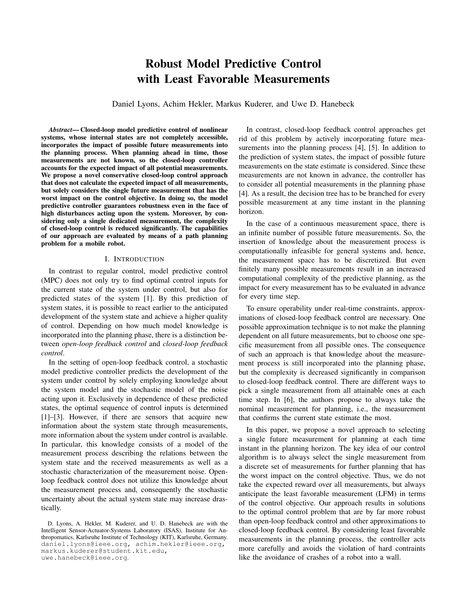# Robust Model Predictive Control with Least Favorable Measurements

Daniel Lyons, Achim Hekler, Markus Kuderer, and Uwe D. Hanebeck

*Abstract*— Closed-loop model predictive control of nonlinear systems, whose internal states are not completely accessible, incorporates the impact of possible future measurements into the planning process. When planning ahead in time, those measurements are not known, so the closed-loop controller accounts for the expected impact of all potential measurements. We propose a novel conservative closed-loop control approach that does not calculate the expected impact of all measurements, but solely considers the single future measurement that has the worst impact on the control objective. In doing so, the model predictive controller guarantees robustness even in the face of high disturbances acting upon the system. Moreover, by considering only a single dedicated measurement, the complexity of closed-loop control is reduced significantly. The capabilities of our approach are evaluated by means of a path planning problem for a mobile robot.

### I. INTRODUCTION

In contrast to regular control, model predictive control (MPC) does not only try to find optimal control inputs for the current state of the system under control, but also for predicted states of the system [1]. By this prediction of system states, it is possible to react earlier to the anticipated development of the system state and achieve a higher quality of control. Depending on how much model knowledge is incorporated into the planning phase, there is a distinction between *open-loop feedback control* and *closed-loop feedback control*.

In the setting of open-loop feedback control, a stochastic model predictive controller predicts the development of the system under control by solely employing knowledge about the system model and the stochastic model of the noise acting upon it. Exclusively in dependence of these predicted states, the optimal sequence of control inputs is determined [1]–[3]. However, if there are sensors that acquire new information about the system state through measurements, more information about the system under control is available. In particular, this knowledge consists of a model of the measurement process describing the relations between the system state and the received measurements as well as a stochastic characterization of the measurement noise. Openloop feedback control does not utilize this knowledge about the measurement process and, consequently the stochastic uncertainty about the actual system state may increase drastically.

uwe.hanebeck@ieee.org.

In contrast, closed-loop feedback control approaches get rid of this problem by actively incorporating future measurements into the planning process [4], [5]. In addition to the prediction of system states, the impact of possible future measurements on the state estimate is considered. Since these measurements are not known in advance, the controller has to consider all potential measurements in the planning phase [4]. As a result, the decision tree has to be branched for every possible measurement at any time instant in the planning horizon.

In the case of a continuous measurement space, there is an infinite number of possible future measurements. So, the insertion of knowledge about the measurement process is computationally infeasible for general systems and, hence, the measurement space has to be discretized. But even finitely many possible measurements result in an increased computational complexity of the predictive planning, as the impact for every measurement has to be evaluated in advance for every time step.

To ensure operability under real-time constraints, approximations of closed-loop feedback control are necessary. One possible approximation technique is to not make the planning dependent on all future measurements, but to choose one specific measurement from all possible ones. The consequence of such an approach is that knowledge about the measurement process is still incorporated into the planning phase, but the complexity is decreased significantly in comparison to closed-loop feedback control. There are different ways to pick a single measurement from all attainable ones at each time step. In [6], the authors propose to always take the nominal measurement for planning, i.e., the measurement that confirms the current state estimate the most.

In this paper, we propose a novel approach to selecting a single future measurement for planning at each time instant in the planning horizon. The key idea of our control algorithm is to always select the single measurement from a discrete set of measurements for further planning that has the worst impact on the control objective. Thus, we do not take the expected reward over all measurements, but always anticipate the least favorable measurement (LFM) in terms of the control objective. Our approach results in solutions to the optimal control problem that are by far more robust than open-loop feedback control and other approximations to closed-loop feedback control. By considering least favorable measurements in the planning process, the controller acts more carefully and avoids the violation of hard contraints like the avoidance of crashes of a robot into a wall.

D. Lyons, A. Hekler, M. Kuderer, and U. D. Hanebeck are with the Intelligent Sensor-Actuator-Systems Laboratory (ISAS), Institute for Anthropomatics, Karlsruhe Institute of Technology (KIT), Karlsruhe, Germany. daniel.lyons@ieee.org, achim.hekler@ieee.org, markus.kuderer@student.kit.edu,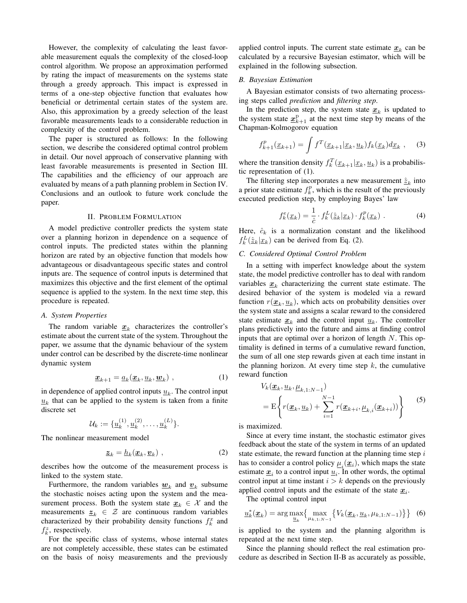However, the complexity of calculating the least favorable measurement equals the complexity of the closed-loop control algorithm. We propose an approximation performed by rating the impact of measurements on the systems state through a greedy approach. This impact is expressed in terms of a one-step objective function that evaluates how beneficial or detrimental certain states of the system are. Also, this approximation by a greedy selection of the least favorable measurements leads to a considerable reduction in complexity of the control problem.

The paper is structured as follows: In the following section, we describe the considered optimal control problem in detail. Our novel approach of conservative planning with least favorable measurements is presented in Section III. The capabilities and the efficiency of our approach are evaluated by means of a path planning problem in Section IV. Conclusions and an outlook to future work conclude the paper.

#### II. PROBLEM FORMULATION

A model predictive controller predicts the system state over a planning horizon in dependence on a sequence of control inputs. The predicted states within the planning horizon are rated by an objective function that models how advantageous or disadvantageous specific states and control inputs are. The sequence of control inputs is determined that maximizes this objective and the first element of the optimal sequence is applied to the system. In the next time step, this procedure is repeated.

### *A. System Properties*

The random variable  $\underline{x}_k$  characterizes the controller's estimate about the current state of the system. Throughout the paper, we assume that the dynamic behaviour of the system under control can be described by the discrete-time nonlinear dynamic system

$$
\underline{\boldsymbol{x}}_{k+1} = \underline{a}_k(\underline{\boldsymbol{x}}_k, \underline{\boldsymbol{u}}_k, \underline{\boldsymbol{w}}_k) \tag{1}
$$

in dependence of applied control inputs  $\underline{u}_k$ . The control input  $\underline{u}_k$  that can be applied to the system is taken from a finite discrete set

$$
\mathcal{U}_k := \{ \underline{u}_k^{(1)}, \underline{u}_k^{(2)}, \dots, \underline{u}_k^{(L)} \}.
$$

The nonlinear measurement model

$$
\underline{\boldsymbol{z}}_k = \underline{h}_k(\underline{\boldsymbol{x}}_k, \underline{\boldsymbol{v}}_k) \tag{2}
$$

describes how the outcome of the measurement process is linked to the system state.

Furthermore, the random variables  $\underline{w}_k$  and  $\underline{v}_k$  subsume the stochastic noises acting upon the system and the measurement process. Both the system state  $x_k \in \mathcal{X}$  and the measurements  $z_k \in \mathcal{Z}$  are continuous random variables characterized by their probability density functions  $f_k^x$  and  $f_k^z$ , respectively.

For the specific class of systems, whose internal states are not completely accessible, these states can be estimated on the basis of noisy measurements and the previously

applied control inputs. The current state estimate  $\underline{x}_k$  can be calculated by a recursive Bayesian estimator, which will be explained in the following subsection.

### *B. Bayesian Estimation*

A Bayesian estimator consists of two alternating processing steps called *prediction* and *filtering step*.

In the prediction step, the system state  $\underline{x}_k$  is updated to the system state  $\underline{x}_{k+1}^{\text{p}}$  at the next time step by means of the Chapman-Kolmogorov equation

$$
f_{k+1}^p(\underline{x}_{k+1}) = \int f^T(\underline{x}_{k+1}|\underline{x}_k, \underline{u}_k) f_k(\underline{x}_k) d\underline{x}_k , \quad (3)
$$

where the transition density  $f_k^T(\underline{x}_{k+1}|\underline{x}_k, \underline{u}_k)$  is a probabilistic representation of (1).

The filtering step incorporates a new measurement  $\hat{\underline{z}}_k$  into a prior state estimate  $f_k^p$ , which is the result of the previously executed prediction step, by employing Bayes' law

$$
f_k^e(\underline{x}_k) = \frac{1}{\hat{c}} \cdot f_k^L(\hat{\underline{z}}_k | \underline{x}_k) \cdot f_k^p(\underline{x}_k) \tag{4}
$$

Here,  $\hat{c}_k$  is a normalization constant and the likelihood  $f_k^L(\hat{\underline{z}}_k | \underline{x}_k)$  can be derived from Eq. (2).

## *C. Considered Optimal Control Problem*

In a setting with imperfect knowledge about the system state, the model predictive controller has to deal with random variables  $\underline{x}_k$  characterizing the current state estimate. The desired behavior of the system is modeled via a reward function  $r(\underline{\boldsymbol{x}}_k, \underline{\boldsymbol{u}}_k)$ , which acts on probability densities over the system state and assigns a scalar reward to the considered state estimate  $\underline{x}_k$  and the control input  $\underline{u}_k$ . The controller plans predictively into the future and aims at finding control inputs that are optimal over a horizon of length  $N$ . This optimality is defined in terms of a cumulative reward function, the sum of all one step rewards given at each time instant in the planning horizon. At every time step  $k$ , the cumulative reward function

$$
V_k(\underline{\boldsymbol{x}}_k, \underline{\boldsymbol{u}}_k, \underline{\boldsymbol{\mu}}_{k,1:N-1})
$$
  
=  $\mathbf{E}\left\{r(\underline{\boldsymbol{x}}_k, \underline{\boldsymbol{u}}_k) + \sum_{i=1}^{N-1} r(\underline{\boldsymbol{x}}_{k+i}, \underline{\boldsymbol{\mu}}_{k,i}(\underline{\boldsymbol{x}}_{k+i}))\right\}$  (5)

is maximized.

Since at every time instant, the stochastic estimator gives feedback about the state of the system in terms of an updated state estimate, the reward function at the planning time step  $i$ has to consider a control policy  $\underline{\mu}_i(\underline{x}_i)$ , which maps the state estimate  $\underline{x}_i$  to a control input  $\underline{u}_i$ . In other words, the optimal control input at time instant  $i > k$  depends on the previously applied control inputs and the estimate of the state  $\underline{x}_i$ .

The optimal control input

$$
\underline{u}_k^*(\underline{x}_k) = \arg \max_{\underline{u}_k} \left\{ \max_{\mu_{k,1:N-1}} \left\{ V_k(\underline{x}_k, \underline{u}_k, \mu_{k,1:N-1}) \right\} \right\} \tag{6}
$$

is applied to the system and the planning algorithm is repeated at the next time step.

Since the planning should reflect the real estimation procedure as described in Section II-B as accurately as possible,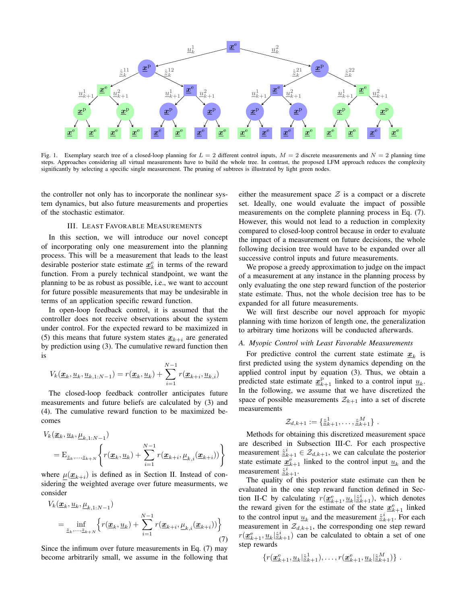

Fig. 1. Exemplary search tree of a closed-loop planning for  $L = 2$  different control inputs,  $M = 2$  discrete measurements and  $N = 2$  planning time steps. Approaches considering all virtual measurements have to build the whole tree. In contrast, the proposed LFM approach reduces the complexity significantly by selecting a specific single measurement. The pruning of subtrees is illustrated by light green nodes.

the controller not only has to incorporate the nonlinear system dynamics, but also future measurements and properties of the stochastic estimator.

## III. LEAST FAVORABLE MEASUREMENTS

In this section, we will introduce our novel concept of incorporating only one measurement into the planning process. This will be a measurement that leads to the least desirable posterior state estimate  $\underline{x}_k^e$  in terms of the reward function. From a purely technical standpoint, we want the planning to be as robust as possible, i.e., we want to account for future possible measurements that may be undesirable in terms of an application specific reward function.

In open-loop feedback control, it is assumed that the controller does not receive observations about the system under control. For the expected reward to be maximized in (5) this means that future system states  $\underline{x}_{k+i}$  are generated by prediction using (3). The cumulative reward function then is

$$
V_k(\underline{\boldsymbol{x}}_k, \underline{\boldsymbol{u}}_k, \underline{\boldsymbol{u}}_{k,1:N-1}) = r(\underline{\boldsymbol{x}}_k, \underline{\boldsymbol{u}}_k) + \sum_{i=1}^{N-1} r(\underline{\boldsymbol{x}}_{k+i}, \underline{\boldsymbol{u}}_{k,i})
$$

The closed-loop feedback controller anticipates future measurements and future beliefs are calculated by (3) and (4). The cumulative reward function to be maximized becomes

$$
V_k(\underline{\boldsymbol{x}}_k, \underline{u}_k, \underline{\mu}_{k,1:N-1})
$$
  
=  $\mathbb{E}_{\underline{z}_k, \dots, \underline{z}_{k+N}} \left\{ r(\underline{\boldsymbol{x}}_k, \underline{u}_k) + \sum_{i=1}^{N-1} r(\underline{\boldsymbol{x}}_{k+i}, \underline{\mu}_{k,i}(\underline{\boldsymbol{x}}_{k+i})) \right\}$ 

where  $\underline{\mu}(\underline{x}_{k+i})$  is defined as in Section II. Instead of considering the weighted average over future measurments, we consider

$$
V_k(\underline{\boldsymbol{x}}_k, \underline{u}_k, \underline{\mu}_{k,1:N-1})
$$
  
= 
$$
\inf_{\underline{z}_k, \dots, \underline{z}_{k+N}} \left\{ r(\underline{\boldsymbol{x}}_k, \underline{u}_k) + \sum_{i=1}^{N-1} r(\underline{\boldsymbol{x}}_{k+i}, \underline{\mu}_{k,i}(\underline{\boldsymbol{x}}_{k+i})) \right\}
$$
(7)

Since the infimum over future measurements in Eq. (7) may become arbitrarily small, we assume in the following that either the measurement space  $\mathcal Z$  is a compact or a discrete set. Ideally, one would evaluate the impact of possible measurements on the complete planning process in Eq. (7). However, this would not lead to a reduction in complexity compared to closed-loop control because in order to evaluate the impact of a measurement on future decisions, the whole following decision tree would have to be expanded over all successive control inputs and future measurements.

We propose a greedy approximation to judge on the impact of a measurement at any instance in the planning process by only evaluating the one step reward function of the posterior state estimate. Thus, not the whole decision tree has to be expanded for all future measurements.

We will first describe our novel approach for myopic planning with time horizon of length one, the generalization to arbitrary time horizons will be conducted afterwards.

#### *A. Myopic Control with Least Favorable Measurements*

For predictive control the current state estimate  $\underline{x}_k$  is first predicted using the system dynamics depending on the applied control input by equation (3). Thus, we obtain a predicted state estimate  $\underline{x}_{k+1}^{\text{p}}$  linked to a control input  $\underline{u}_k$ . In the following, we assume that we have discretized the space of possible measurements  $\mathcal{Z}_{k+1}$  into a set of discrete measurements

$$
\mathcal{Z}_{d,k+1} := \{\hat{\underline{z}}_{k+1}^1, \ldots, \hat{\underline{z}}_{k+1}^M\}.
$$

Methods for obtaining this discretized measurement space are described in Subsection III-C. For each prospective measurement  $\underline{\hat{z}}_{k+1}^i \in \mathcal{Z}_{d,k+1}$ , we can calculate the posterior state estimate  $\underline{x}_{k+1}^e$  linked to the control input  $\underline{u}_k$  and the measurement  $\hat{\underline{z}}_{k+1}^i$ .

The quality of this posterior state estimate can then be evaluated in the one step reward function defined in Section II-C by calculating  $r(\underline{\mathbf{x}}_{k+1}^{\text{e}}, \underline{u}_k | \hat{z}_{k+1}^i)$ , which denotes the reward given for the estimate of the state  $\underline{x}_{k+1}^e$  linked to the control input  $\underline{u}_k$  and the measurement  $\hat{\underline{z}}_{k+1}^i$ . For each measurement in  $\mathcal{Z}_{d,k+1}$ , the corresponding one step reward  $r(\underline{\mathbf{x}}_{k+1}^{\text{e}}, \underline{u}_k | \hat{\underline{z}}_{k+1}^i)$  can be calculated to obtain a set of one step rewards

$$
\{r(\underline{\boldsymbol{x}}_{k+1}^{\mathrm{e}},\underline{u}_k|\hat{\boldsymbol{\Sigma}}_{k+1}^1),\ldots,r(\underline{\boldsymbol{x}}_{k+1}^{\mathrm{e}},\underline{u}_k|\hat{\boldsymbol{\Sigma}}_{k+1}^M)\}\ .
$$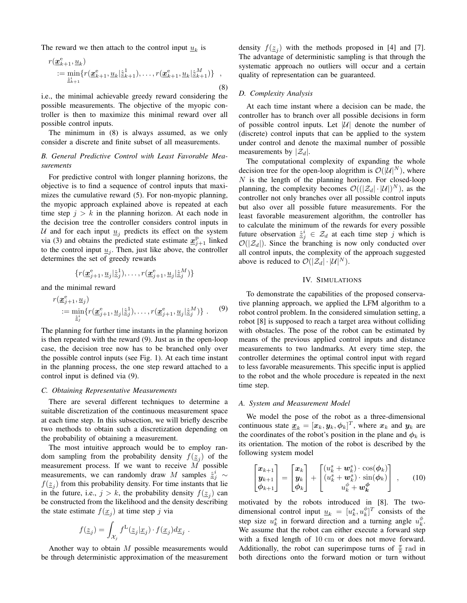The reward we then attach to the control input  $\underline{u}_k$  is

$$
r(\underline{\mathbf{x}}_{k+1}^{\mathbf{e}}, \underline{u}_k) := \min_{\underline{\hat{z}}_{k+1}^i} \{ r(\underline{\mathbf{x}}_{k+1}^{\mathbf{e}}, \underline{u}_k | \underline{\hat{z}}_{k+1}^1), \dots, r(\underline{\mathbf{x}}_{k+1}^{\mathbf{e}}, \underline{u}_k | \underline{\hat{z}}_{k+1}^M) \},
$$
\n(8)

i.e., the minimal achievable greedy reward considering the possible measurements. The objective of the myopic controller is then to maximize this minimal reward over all possible control inputs.

The minimum in (8) is always assumed, as we only consider a discrete and finite subset of all measurements.

# *B. General Predictive Control with Least Favorable Measurements*

For predictive control with longer planning horizons, the objective is to find a sequence of control inputs that maximizes the cumulative reward (5). For non-myopic planning, the myopic approach explained above is repeated at each time step  $j > k$  in the planning horizon. At each node in the decision tree the controller considers control inputs in U and for each input  $u_i$  predicts its effect on the system via (3) and obtains the predicted state estimate  $\underline{x}_{j+1}^{\text{p}}$  linked to the control input  $\underline{u}_j$ . Then, just like above, the controller determines the set of greedy rewards

$$
\{r(\underline{\boldsymbol{x}}_{j+1}^{\mathrm{e}}, \underline{u}_j|\hat{\boldsymbol{\Sigma}}_j^1), \ldots, r(\underline{\boldsymbol{x}}_{j+1}^{\mathrm{e}}, \underline{u}_j|\hat{\boldsymbol{\Sigma}}_j^M)\}
$$

and the minimal reward

$$
r(\underline{\boldsymbol{x}}_{j+1}^e, \underline{\boldsymbol{u}}_j) = \min_{\underline{\hat{z}}_j^i} \{r(\underline{\boldsymbol{x}}_{j+1}^e, \underline{\boldsymbol{u}}_j | \underline{\hat{z}}_j^1), \dots, r(\underline{\boldsymbol{x}}_{j+1}^e, \underline{\boldsymbol{u}}_j | \underline{\hat{z}}_j^M)\}.
$$
 (9)

The planning for further time instants in the planning horizon is then repeated with the reward (9). Just as in the open-loop case, the decision tree now has to be branched only over the possible control inputs (see Fig. 1). At each time instant in the planning process, the one step reward attached to a control input is defined via (9).

# *C. Obtaining Representative Measurements*

There are several different techniques to determine a suitable discretization of the continuous measurement space at each time step. In this subsection, we will briefly describe two methods to obtain such a discretization depending on the probability of obtaining a measurement.

The most intuitive approach would be to employ random sampling from the probability density  $f(\underline{z}_j)$  of the measurement process. If we want to receive  $M$  possible measurements, we can randomly draw M samples  $\hat{\underline{z}}_j^i \sim$  $f(\underline{z}_j)$  from this probability density. For time instants that lie in the future, i.e.,  $j > k$ , the probability density  $f(\underline{z}_j)$  can be constructed from the likelihood and the density describing the state estimate  $f(\underline{x}_j)$  at time step j via

$$
f(\underline{z}_j) = \int_{\mathcal{X}_j} f^L(\underline{z}_j | \underline{x}_j) \cdot f(\underline{x}_j) d\underline{x}_j .
$$

Another way to obtain M possible measurements would be through deterministic approximation of the measurement

density  $f(\underline{z}_j)$  with the methods proposed in [4] and [7]. The advantage of deterministic sampling is that through the systematic approach no outliers will occur and a certain quality of representation can be guaranteed.

#### *D. Complexity Analysis*

At each time instant where a decision can be made, the controller has to branch over all possible decisions in form of possible control inputs. Let  $|\mathcal{U}|$  denote the number of (discrete) control inputs that can be applied to the system under control and denote the maximal number of possible measurements by  $|\mathcal{Z}_d|$ .

The computational complexity of expanding the whole decision tree for the open-loop alogrithm is  $\mathcal{O}(|\mathcal{U}|^N)$ , where  $N$  is the length of the planning horizon. For closed-loop planning, the complexity becomes  $\mathcal{O}((|\mathcal{Z}_d| \cdot |\mathcal{U}|)^N)$ , as the controller not only branches over all possible control inputs but also over all possible future measurements. For the least favorable measurement algorithm, the controller has to calculate the minimum of the rewards for every possible future observation  $\hat{\underline{z}}_j^i \in \mathcal{Z}_d$  at each time step j which is  $\mathcal{O}(|\mathcal{Z}_d|)$ . Since the branching is now only conducted over all control inputs, the complexity of the approach suggested above is reduced to  $\mathcal{O}(|\mathcal{Z}_d| \cdot |\mathcal{U}|^N)$ .

## IV. SIMULATIONS

To demonstrate the capabilities of the proposed conservative planning approach, we applied the LFM algorithm to a robot control problem. In the considered simulation setting, a robot [8] is supposed to reach a target area without colliding with obstacles. The pose of the robot can be estimated by means of the previous applied control inputs and distance measurements to two landmarks. At every time step, the controller determines the optimal control input with regard to less favorable measurements. This specific input is applied to the robot and the whole procedure is repeated in the next time step.

#### *A. System and Measurement Model*

We model the pose of the robot as a three-dimensional continuous state  $\underline{\boldsymbol{x}}_k = [\boldsymbol{x}_k, \boldsymbol{y}_k, \boldsymbol{\phi}_k]^T$ , where  $\boldsymbol{x}_k$  and  $\boldsymbol{y}_k$  are the coordinates of the robot's position in the plane and  $\phi_k$  is its orientation. The motion of the robot is described by the following system model

$$
\begin{bmatrix} \mathbf{x}_{k+1} \\ \mathbf{y}_{k+1} \\ \phi_{k+1} \end{bmatrix} = \begin{bmatrix} \mathbf{x}_k \\ \mathbf{y}_k \\ \phi_k \end{bmatrix} + \begin{bmatrix} (u_k^s + \mathbf{w}_k^s) \cdot \cos(\phi_k) \\ (u_k^s + \mathbf{w}_k^s) \cdot \sin(\phi_k) \\ u_k^{\phi} + \mathbf{w}_k^{\phi} \end{bmatrix}, \quad (10)
$$

motivated by the robots introduced in [8]. The twodimensional control input  $\underline{u}_k = [u_k^s, u_k^{\phi}]^T$  consists of the step size  $u_k^s$  in forward direction and a turning angle  $u_k^{\phi}$ . We assume that the robot can either execute a forward step with a fixed length of 10 cm or does not move forward. Additionally, the robot can superimpose turns of  $\frac{\pi}{8}$  rad in both directions onto the forward motion or turn without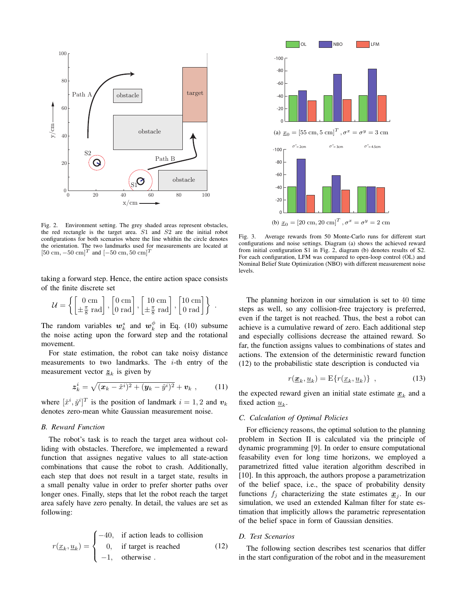

Fig. 2. Environment setting. The grey shaded areas represent obstacles, the red rectangle is the target area. S1 and S2 are the initial robot configurations for both scenarios where the line whithin the circle denotes the orientation. The two landmarks used for measurements are located at  $[50 \text{ cm}, -50 \text{ cm}]^T$  and  $[-50 \text{ cm}, 50 \text{ cm}]^T$ 

taking a forward step. Hence, the entire action space consists of the finite discrete set

$$
\mathcal{U} = \left\{ \begin{bmatrix} 0 \text{ cm} \\ \pm \frac{\pi}{8} \text{ rad} \end{bmatrix}, \begin{bmatrix} 0 \text{ cm} \\ 0 \text{ rad} \end{bmatrix}, \begin{bmatrix} 10 \text{ cm} \\ \pm \frac{\pi}{8} \text{ rad} \end{bmatrix}, \begin{bmatrix} 10 \text{ cm} \\ 0 \text{ rad} \end{bmatrix} \right\}.
$$

The random variables  $w_k^s$  and  $w_k^{\phi}$  in Eq. (10) subsume the noise acting upon the forward step and the rotational movement.

For state estimation, the robot can take noisy distance measurements to two landmarks. The  $i$ -th entry of the measurement vector  $\underline{z}_k$  is given by

$$
\mathbf{z}_{k}^{i} = \sqrt{(\mathbf{x}_{k} - \check{x}^{i})^{2} + (\mathbf{y}_{k} - \check{y}^{i})^{2}} + \mathbf{v}_{k} , \qquad (11)
$$

where  $[\check{x}^i, \check{y}^i]^T$  is the position of landmark  $i = 1, 2$  and  $v_k$ denotes zero-mean white Gaussian measurement noise.

# *B. Reward Function*

The robot's task is to reach the target area without colliding with obstacles. Therefore, we implemented a reward function that assignes negative values to all state-action combinations that cause the robot to crash. Additionally, each step that does not result in a target state, results in a small penalty value in order to prefer shorter paths over longer ones. Finally, steps that let the robot reach the target area safely have zero penalty. In detail, the values are set as following:

$$
r(\underline{x}_k, \underline{u}_k) = \begin{cases} -40, & \text{if action leads to collision} \\ 0, & \text{if target is reached} \\ -1, & \text{otherwise} \end{cases}
$$
 (12)



Fig. 3. Average rewards from 50 Monte-Carlo runs for different start configurations and noise settings. Diagram (a) shows the achieved reward from initial configuration S1 in Fig. 2, diagram (b) denotes results of S2. For each configuration, LFM was compared to open-loop control (OL) and Nominal Belief State Optimization (NBO) with different measurement noise levels.

The planning horizon in our simulation is set to 40 time steps as well, so any collision-free trajectory is preferred, even if the target is not reached. Thus, the best a robot can achieve is a cumulative reward of zero. Each additional step and especially collisions decrease the attained reward. So far, the function assigns values to combinations of states and actions. The extension of the deterministic reward function (12) to the probabilistic state description is conducted via

$$
r(\underline{x}_k, \underline{u}_k) = \mathcal{E}\{r(\underline{x}_k, \underline{u}_k)\}, \qquad (13)
$$

the expected reward given an initial state estimate  $\underline{x}_k$  and a fixed action  $\underline{u}_k$ .

## *C. Calculation of Optimal Policies*

For efficiency reasons, the optimal solution to the planning problem in Section II is calculated via the principle of dynamic programming [9]. In order to ensure computational feasability even for long time horizons, we employed a parametrized fitted value iteration algorithm described in [10]. In this approach, the authors propose a parametrization of the belief space, i.e., the space of probability density functions  $f_j$  characterizing the state estimates  $\underline{x}_j$ . In our simulation, we used an extended Kalman filter for state estimation that implicitly allows the parametric representation of the belief space in form of Gaussian densities.

## *D. Test Scenarios*

The following section describes test scenarios that differ in the start configuration of the robot and in the measurement